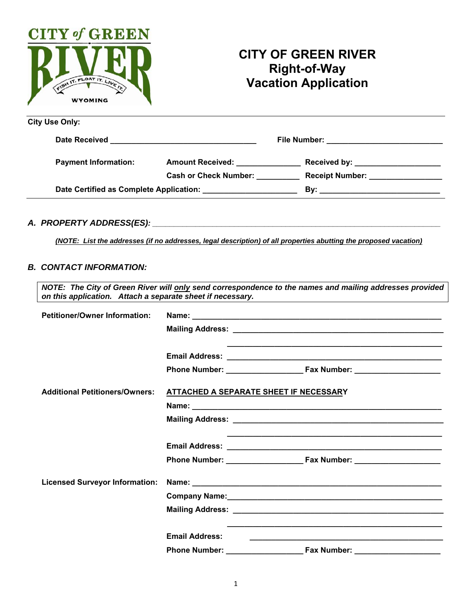

# **CITY OF GREEN RIVER Right-of-Way Vacation Application**

| <b>City Use Only:</b>                                                                                                                   |                                          |                                            |  |
|-----------------------------------------------------------------------------------------------------------------------------------------|------------------------------------------|--------------------------------------------|--|
| Date Received<br><u> 2000 - Jan Alexandro Alexander de Alexandro de Alexandro de Alexandro de Alexandro de Alexandro de Alexandro d</u> |                                          | File Number: _____________________________ |  |
| <b>Payment Information:</b>                                                                                                             | <b>Amount Received:</b> Amount Processes | Received by: ______________________        |  |
|                                                                                                                                         | <b>Cash or Check Number:</b>             | Receipt Number: _________________          |  |
| Date Certified as Complete Application: National Certified as Complete Application:                                                     |                                          |                                            |  |

#### *A. PROPERTY ADDRESS(ES): \_\_\_\_\_\_\_\_\_\_\_\_\_\_\_\_\_\_\_\_\_\_\_\_\_\_\_\_\_\_\_\_\_\_\_\_\_\_\_\_\_\_\_\_\_\_\_\_\_\_\_\_\_\_\_\_\_\_\_\_\_\_\_\_\_\_\_*

*(NOTE: List the addresses (if no addresses, legal description) of all properties abutting the proposed vacation)* 

# *B. CONTACT INFORMATION:*

| on this application. Attach a separate sheet if necessary. |                                        | NOTE: The City of Green River will only send correspondence to the names and mailing addresses provided<br><u> 1989 - Johann Stein, mars an deutscher Stein und der Stein und der Stein und der Stein und der Stein und der</u> |
|------------------------------------------------------------|----------------------------------------|---------------------------------------------------------------------------------------------------------------------------------------------------------------------------------------------------------------------------------|
| <b>Petitioner/Owner Information:</b>                       |                                        |                                                                                                                                                                                                                                 |
|                                                            |                                        |                                                                                                                                                                                                                                 |
|                                                            |                                        | <u> 1999 - Jan James James James James James James James James James James James James James James James James J</u>                                                                                                            |
|                                                            |                                        |                                                                                                                                                                                                                                 |
| <b>Additional Petitioners/Owners:</b>                      | ATTACHED A SEPARATE SHEET IF NECESSARY |                                                                                                                                                                                                                                 |
|                                                            |                                        |                                                                                                                                                                                                                                 |
|                                                            |                                        | <u> 1989 - Johann Stoff, amerikansk politiker (* 1908)</u>                                                                                                                                                                      |
| <b>Licensed Surveyor Information:</b>                      |                                        |                                                                                                                                                                                                                                 |
|                                                            | <b>Email Address:</b>                  | <u> 1989 - Johann John Stone, markin fan de Fryske kunstne fan de ferstjer fan de ferstjer fan de ferstjer fan de</u>                                                                                                           |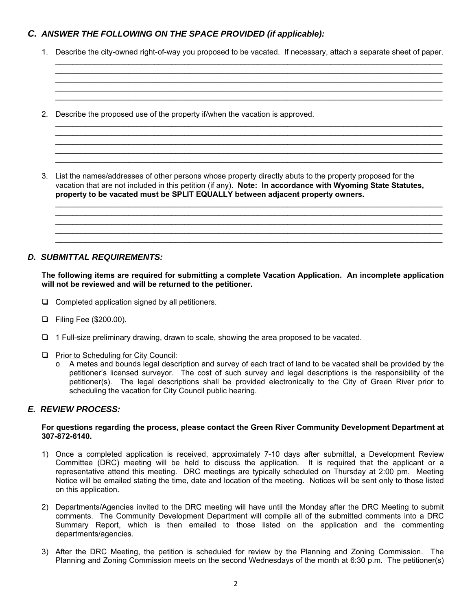## *C. ANSWER THE FOLLOWING ON THE SPACE PROVIDED (if applicable):*

1. Describe the city-owned right-of-way you proposed to be vacated. If necessary, attach a separate sheet of paper.

 $\mathcal{L}_\mathcal{L} = \mathcal{L}_\mathcal{L} = \mathcal{L}_\mathcal{L} = \mathcal{L}_\mathcal{L} = \mathcal{L}_\mathcal{L} = \mathcal{L}_\mathcal{L} = \mathcal{L}_\mathcal{L} = \mathcal{L}_\mathcal{L} = \mathcal{L}_\mathcal{L} = \mathcal{L}_\mathcal{L} = \mathcal{L}_\mathcal{L} = \mathcal{L}_\mathcal{L} = \mathcal{L}_\mathcal{L} = \mathcal{L}_\mathcal{L} = \mathcal{L}_\mathcal{L} = \mathcal{L}_\mathcal{L} = \mathcal{L}_\mathcal{L}$ 

\_\_\_\_\_\_\_\_\_\_\_\_\_\_\_\_\_\_\_\_\_\_\_\_\_\_\_\_\_\_\_\_\_\_\_\_\_\_\_\_\_\_\_\_\_\_\_\_\_\_\_\_\_\_\_\_\_\_\_\_\_\_\_\_\_\_\_\_\_\_\_\_\_\_\_\_\_\_\_\_\_\_\_\_\_\_\_\_\_\_  $\mathcal{L}_\mathcal{L} = \mathcal{L}_\mathcal{L} = \mathcal{L}_\mathcal{L} = \mathcal{L}_\mathcal{L} = \mathcal{L}_\mathcal{L} = \mathcal{L}_\mathcal{L} = \mathcal{L}_\mathcal{L} = \mathcal{L}_\mathcal{L} = \mathcal{L}_\mathcal{L} = \mathcal{L}_\mathcal{L} = \mathcal{L}_\mathcal{L} = \mathcal{L}_\mathcal{L} = \mathcal{L}_\mathcal{L} = \mathcal{L}_\mathcal{L} = \mathcal{L}_\mathcal{L} = \mathcal{L}_\mathcal{L} = \mathcal{L}_\mathcal{L}$ 

 $\mathcal{L}_\mathcal{L} = \mathcal{L}_\mathcal{L} = \mathcal{L}_\mathcal{L} = \mathcal{L}_\mathcal{L} = \mathcal{L}_\mathcal{L} = \mathcal{L}_\mathcal{L} = \mathcal{L}_\mathcal{L} = \mathcal{L}_\mathcal{L} = \mathcal{L}_\mathcal{L} = \mathcal{L}_\mathcal{L} = \mathcal{L}_\mathcal{L} = \mathcal{L}_\mathcal{L} = \mathcal{L}_\mathcal{L} = \mathcal{L}_\mathcal{L} = \mathcal{L}_\mathcal{L} = \mathcal{L}_\mathcal{L} = \mathcal{L}_\mathcal{L}$ 

\_\_\_\_\_\_\_\_\_\_\_\_\_\_\_\_\_\_\_\_\_\_\_\_\_\_\_\_\_\_\_\_\_\_\_\_\_\_\_\_\_\_\_\_\_\_\_\_\_\_\_\_\_\_\_\_\_\_\_\_\_\_\_\_\_\_\_\_\_\_\_\_\_\_\_\_\_\_\_\_\_\_\_\_\_\_\_\_\_\_

\_\_\_\_\_\_\_\_\_\_\_\_\_\_\_\_\_\_\_\_\_\_\_\_\_\_\_\_\_\_\_\_\_\_\_\_\_\_\_\_\_\_\_\_\_\_\_\_\_\_\_\_\_\_\_\_\_\_\_\_\_\_\_\_\_\_\_\_\_\_\_\_\_\_\_\_\_\_\_\_\_\_\_\_\_\_\_\_\_\_

 $\mathcal{L}_\mathcal{L} = \mathcal{L}_\mathcal{L} = \mathcal{L}_\mathcal{L} = \mathcal{L}_\mathcal{L} = \mathcal{L}_\mathcal{L} = \mathcal{L}_\mathcal{L} = \mathcal{L}_\mathcal{L} = \mathcal{L}_\mathcal{L} = \mathcal{L}_\mathcal{L} = \mathcal{L}_\mathcal{L} = \mathcal{L}_\mathcal{L} = \mathcal{L}_\mathcal{L} = \mathcal{L}_\mathcal{L} = \mathcal{L}_\mathcal{L} = \mathcal{L}_\mathcal{L} = \mathcal{L}_\mathcal{L} = \mathcal{L}_\mathcal{L}$ 

2. Describe the proposed use of the property if/when the vacation is approved.

3. List the names/addresses of other persons whose property directly abuts to the property proposed for the vacation that are not included in this petition (if any). **Note: In accordance with Wyoming State Statutes, property to be vacated must be SPLIT EQUALLY between adjacent property owners.**

### *D. SUBMITTAL REQUIREMENTS:*

**The following items are required for submitting a complete Vacation Application. An incomplete application will not be reviewed and will be returned to the petitioner.** 

- $\Box$  Completed application signed by all petitioners.
- Filing Fee (\$200.00).
- $\Box$  1 Full-size preliminary drawing, drawn to scale, showing the area proposed to be vacated.
- **Prior to Scheduling for City Council:** 
	- o A metes and bounds legal description and survey of each tract of land to be vacated shall be provided by the petitioner's licensed surveyor. The cost of such survey and legal descriptions is the responsibility of the petitioner(s). The legal descriptions shall be provided electronically to the City of Green River prior to scheduling the vacation for City Council public hearing.

#### *E. REVIEW PROCESS:*

#### **For questions regarding the process, please contact the Green River Community Development Department at 307-872-6140.**

- 1) Once a completed application is received, approximately 7-10 days after submittal, a Development Review Committee (DRC) meeting will be held to discuss the application. It is required that the applicant or a representative attend this meeting. DRC meetings are typically scheduled on Thursday at 2:00 pm. Meeting Notice will be emailed stating the time, date and location of the meeting. Notices will be sent only to those listed on this application.
- 2) Departments/Agencies invited to the DRC meeting will have until the Monday after the DRC Meeting to submit comments. The Community Development Department will compile all of the submitted comments into a DRC Summary Report, which is then emailed to those listed on the application and the commenting departments/agencies.
- 3) After the DRC Meeting, the petition is scheduled for review by the Planning and Zoning Commission. The Planning and Zoning Commission meets on the second Wednesdays of the month at 6:30 p.m. The petitioner(s)